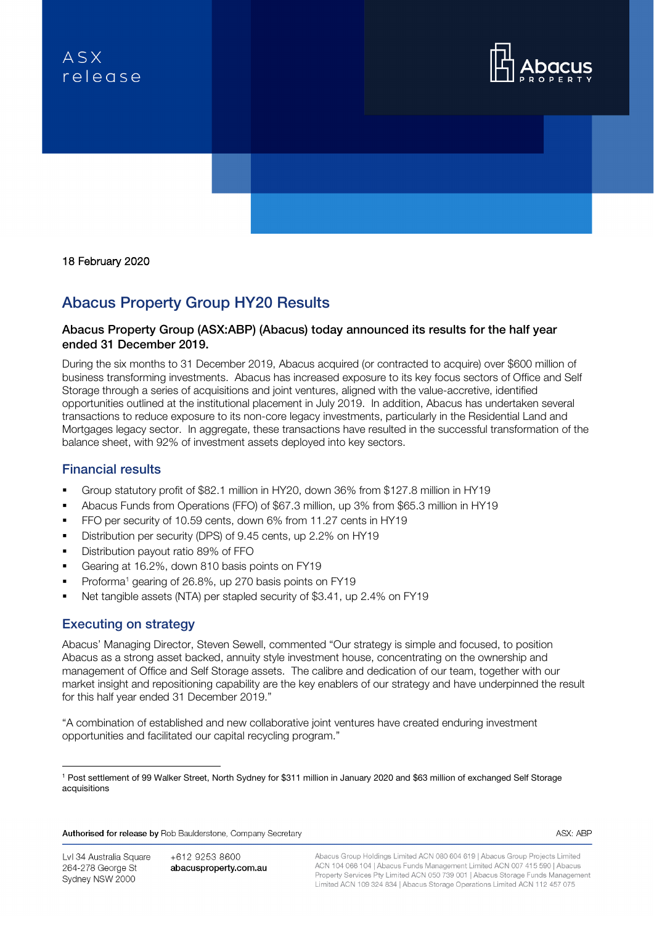# $ASX$ relegse





# Abacus Property Group HY20 Results

## Abacus Property Group (ASX:ABP) (Abacus) today announced its results for the half year ended 31 December 2019.

During the six months to 31 December 2019, Abacus acquired (or contracted to acquire) over \$600 million of business transforming investments. Abacus has increased exposure to its key focus sectors of Office and Self Storage through a series of acquisitions and joint ventures, aligned with the value-accretive, identified opportunities outlined at the institutional placement in July 2019. In addition, Abacus has undertaken several transactions to reduce exposure to its non-core legacy investments, particularly in the Residential Land and Mortgages legacy sector. In aggregate, these transactions have resulted in the successful transformation of the balance sheet, with 92% of investment assets deployed into key sectors.

# Financial results

- Group statutory profit of \$82.1 million in HY20, down 36% from \$127.8 million in HY19
- Abacus Funds from Operations (FFO) of \$67.3 million, up 3% from \$65.3 million in HY19
- **FFO per security of 10.59 cents, down 6% from 11.27 cents in HY19**
- Distribution per security (DPS) of 9.45 cents, up 2.2% on HY19
- Distribution payout ratio 89% of FFO
- Gearing at 16.2%, down 810 basis points on FY19
- **Proforma<sup>1</sup>** gearing of 26.8%, up 270 basis points on FY19
- Net tangible assets (NTA) per stapled security of \$3.41, up 2.4% on FY19

# Executing on strategy

Abacus' Managing Director, Steven Sewell, commented "Our strategy is simple and focused, to position Abacus as a strong asset backed, annuity style investment house, concentrating on the ownership and management of Office and Self Storage assets. The calibre and dedication of our team, together with our market insight and repositioning capability are the key enablers of our strategy and have underpinned the result for this half year ended 31 December 2019."

"A combination of established and new collaborative joint ventures have created enduring investment opportunities and facilitated our capital recycling program."

Authorised for release by Rob Baulderstone, Company Secretary

ASX: ABP

+612 9253 8600 abacusproperty.com.au Abacus Group Holdings Limited ACN 080 604 619 | Abacus Group Projects Limited ACN 104 066 104 | Abacus Funds Management Limited ACN 007 415 590 | Abacus Property Services Pty Limited ACN 050 739 001 | Abacus Storage Funds Management Limited ACN 109 324 834 | Abacus Storage Operations Limited ACN 112 457 075

<sup>1</sup> Post settlement of 99 Walker Street, North Sydney for \$311 million in January 2020 and \$63 million of exchanged Self Storage acquisitions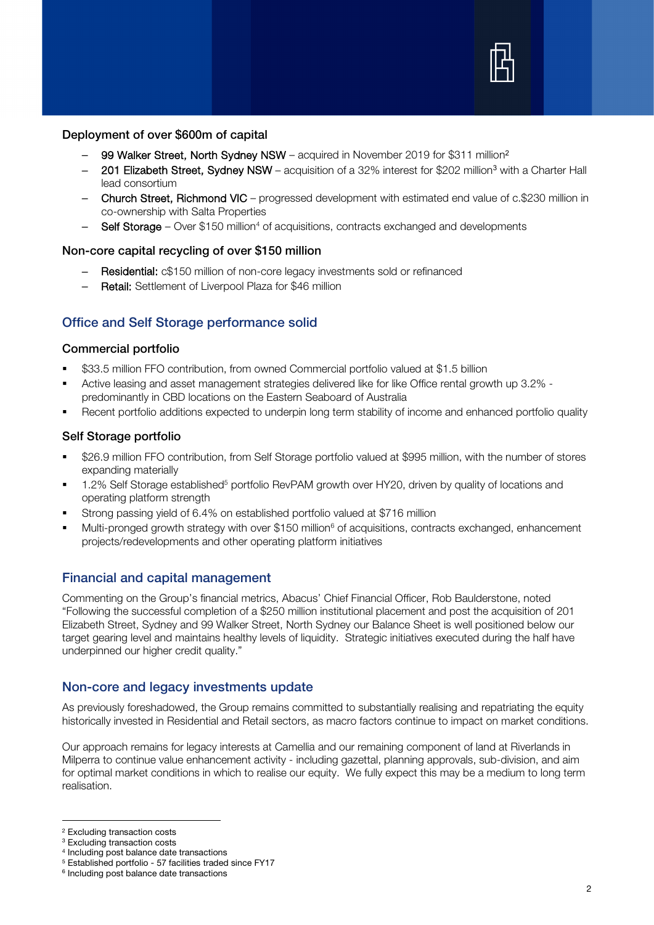

#### Deployment of over \$600m of capital

- 99 Walker Street, North Sydney NSW acquired in November 2019 for \$311 million<sup>2</sup>
- 201 Elizabeth Street, Sydney NSW acquisition of a 32% interest for \$202 million<sup>3</sup> with a Charter Hall lead consortium
- Church Street, Richmond VIC progressed development with estimated end value of c.\$230 million in co-ownership with Salta Properties
- Self Storage Over  $$150$  million<sup>4</sup> of acquisitions, contracts exchanged and developments

#### Non-core capital recycling of over \$150 million

- Residential: c\$150 million of non-core legacy investments sold or refinanced
- Retail: Settlement of Liverpool Plaza for \$46 million

# Office and Self Storage performance solid

#### Commercial portfolio

- \$33.5 million FFO contribution, from owned Commercial portfolio valued at \$1.5 billion
- Active leasing and asset management strategies delivered like for like Office rental growth up 3.2% predominantly in CBD locations on the Eastern Seaboard of Australia
- Recent portfolio additions expected to underpin long term stability of income and enhanced portfolio quality

### Self Storage portfolio

- \$26.9 million FFO contribution, from Self Storage portfolio valued at \$995 million, with the number of stores expanding materially
- 1.2% Self Storage established<sup>5</sup> portfolio RevPAM growth over HY20, driven by quality of locations and operating platform strength
- Strong passing yield of 6.4% on established portfolio valued at \$716 million
- Multi-pronged growth strategy with over \$150 million<sup>6</sup> of acquisitions, contracts exchanged, enhancement projects/redevelopments and other operating platform initiatives

# Financial and capital management

Commenting on the Group's financial metrics, Abacus' Chief Financial Officer, Rob Baulderstone, noted "Following the successful completion of a \$250 million institutional placement and post the acquisition of 201 Elizabeth Street, Sydney and 99 Walker Street, North Sydney our Balance Sheet is well positioned below our target gearing level and maintains healthy levels of liquidity. Strategic initiatives executed during the half have underpinned our higher credit quality."

# Non-core and legacy investments update

As previously foreshadowed, the Group remains committed to substantially realising and repatriating the equity historically invested in Residential and Retail sectors, as macro factors continue to impact on market conditions.

Our approach remains for legacy interests at Camellia and our remaining component of land at Riverlands in Milperra to continue value enhancement activity - including gazettal, planning approvals, sub-division, and aim for optimal market conditions in which to realise our equity. We fully expect this may be a medium to long term realisation.

<sup>2</sup> Excluding transaction costs

<sup>3</sup> Excluding transaction costs

<sup>4</sup> Including post balance date transactions

<sup>5</sup> Established portfolio - 57 facilities traded since FY17

<sup>&</sup>lt;sup>6</sup> Including post balance date transactions